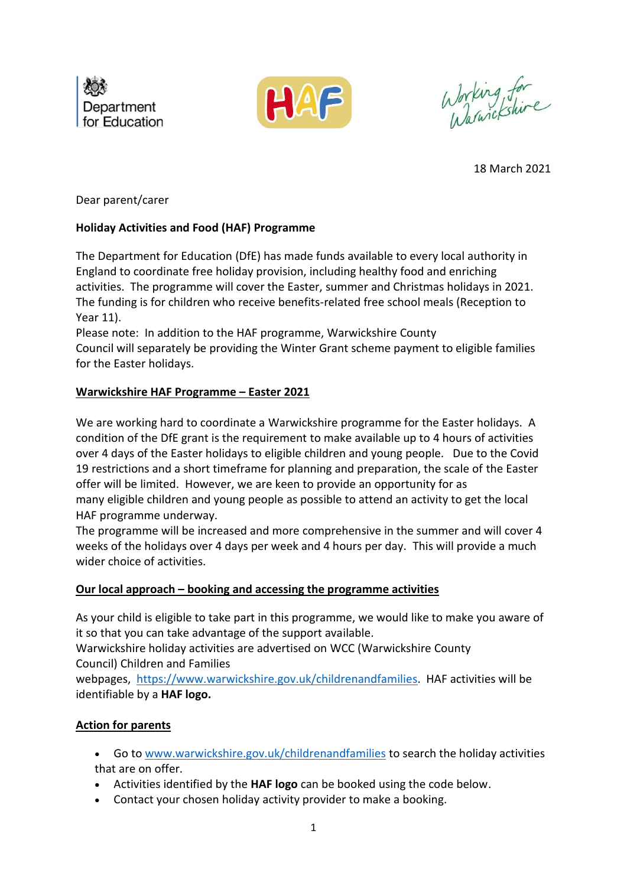



Working for

18 March 2021

Dear parent/carer

# **Holiday Activities and Food (HAF) Programme**

The Department for Education (DfE) has made funds available to every local authority in England to coordinate free holiday provision, including healthy food and enriching activities. The programme will cover the Easter, summer and Christmas holidays in 2021. The funding is for children who receive benefits-related free school meals (Reception to Year 11).

Please note: In addition to the HAF programme, Warwickshire County Council will separately be providing the Winter Grant scheme payment to eligible families for the Easter holidays.

## **Warwickshire HAF Programme – Easter 2021**

We are working hard to coordinate a Warwickshire programme for the Easter holidays. A condition of the DfE grant is the requirement to make available up to 4 hours of activities over 4 days of the Easter holidays to eligible children and young people. Due to the Covid 19 restrictions and a short timeframe for planning and preparation, the scale of the Easter offer will be limited. However, we are keen to provide an opportunity for as many eligible children and young people as possible to attend an activity to get the local HAF programme underway.

The programme will be increased and more comprehensive in the summer and will cover 4 weeks of the holidays over 4 days per week and 4 hours per day. This will provide a much wider choice of activities.

# **Our local approach – booking and accessing the programme activities**

As your child is eligible to take part in this programme, we would like to make you aware of it so that you can take advantage of the support available.

Warwickshire holiday activities are advertised on WCC (Warwickshire County Council) Children and Families

webpages, [https://www.warwickshire.gov.uk/childrenandfamilies.](https://www.warwickshire.gov.uk/childrenandfamilies) HAF activities will be identifiable by a **HAF logo.**

# **Action for parents**

- Go to [www.warwickshire.gov.uk/childrenandfamilies](http://www.warwickshire.gov.uk/childrenandfamilies) to search the holiday activities that are on offer.
- Activities identified by the **HAF logo** can be booked using the code below.
- Contact your chosen holiday activity provider to make a booking.